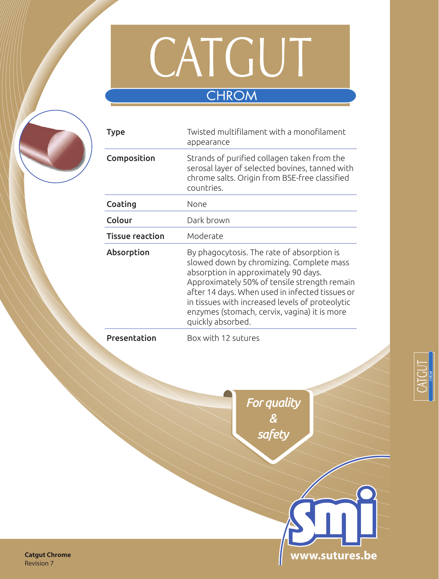

# **CHROM**

| <b>Type</b>            | Twisted multifilament with a monofilament<br>appearance                                                                                                                                                                                                                                                                                                   |  |  |
|------------------------|-----------------------------------------------------------------------------------------------------------------------------------------------------------------------------------------------------------------------------------------------------------------------------------------------------------------------------------------------------------|--|--|
| Composition            | Strands of purified collagen taken from the<br>serosal layer of selected bovines, tanned with<br>chrome salts. Origin from BSE-free classified<br>countries.                                                                                                                                                                                              |  |  |
| Coating                | None                                                                                                                                                                                                                                                                                                                                                      |  |  |
| Colour                 | Dark brown                                                                                                                                                                                                                                                                                                                                                |  |  |
| <b>Tissue reaction</b> | Moderate                                                                                                                                                                                                                                                                                                                                                  |  |  |
| Absorption             | By phagocytosis. The rate of absorption is<br>slowed down by chromizing. Complete mass<br>absorption in approximately 90 days.<br>Approximately 50% of tensile strength remain<br>after 14 days. When used in infected tissues or<br>in tissues with increased levels of proteolytic<br>enzymes (stomach, cervix, vagina) it is more<br>quickly absorbed. |  |  |
| Presentation           | Box with 12 sutures                                                                                                                                                                                                                                                                                                                                       |  |  |

*For quality & safety*



**Catgut Chrome** Revision 7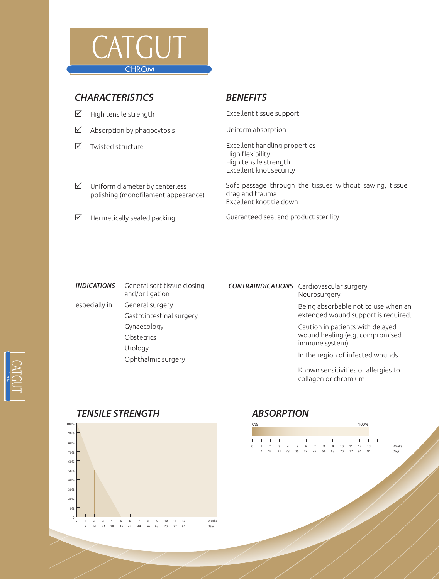

## *CHARACTERISTICS BENEFITS*

- $\boxtimes$  High tensile strength  $\boxtimes$  Excellent tissue support
- $\boxtimes$  Absorption by phagocytosis  $\boxtimes$  Uniform absorption
- 

 $\boxtimes$  Twisted structure  $\boxtimes$  Excellent handling properties High flexibility High tensile strength Excellent knot security

- Soft passage through the tissues without sawing, tissue drag and trauma Excellent knot tie down
- 

 $\boxtimes$  Uniform diameter by centerless

polishing (monofilament appearance)

 $\boxtimes$  Hermetically sealed packing  $\boxtimes$  Guaranteed seal and product sterility

| <b>INDICATIONS</b> | General soft tissue closing<br>and/or ligation |
|--------------------|------------------------------------------------|
| especially in      | General surgery                                |
|                    | Gastrointestinal surgery                       |
|                    | Gynaecology                                    |
|                    | Obstetrics                                     |
|                    | Urology                                        |
|                    | Ophthalmic surgery                             |

### *CONTRAINDICATIONS* Cardiovascular surgery Neurosurgery

Being absorbable not to use when an extended wound support is required.

Caution in patients with delayed wound healing (e.g. compromised immune system).

In the region of infected wounds

Known sensitivities or allergies to collagen or chromium

### 100% 90% 80% 70% 60% 50% 40% 30% 20% 10% 0 0 1 2 3 4 5 6 7 8 9 10 11 12 7 14 21 28 35 42 49 56 63 70 77 84 Week Days

## *TENSILE STRENGTH ABSORPTION*